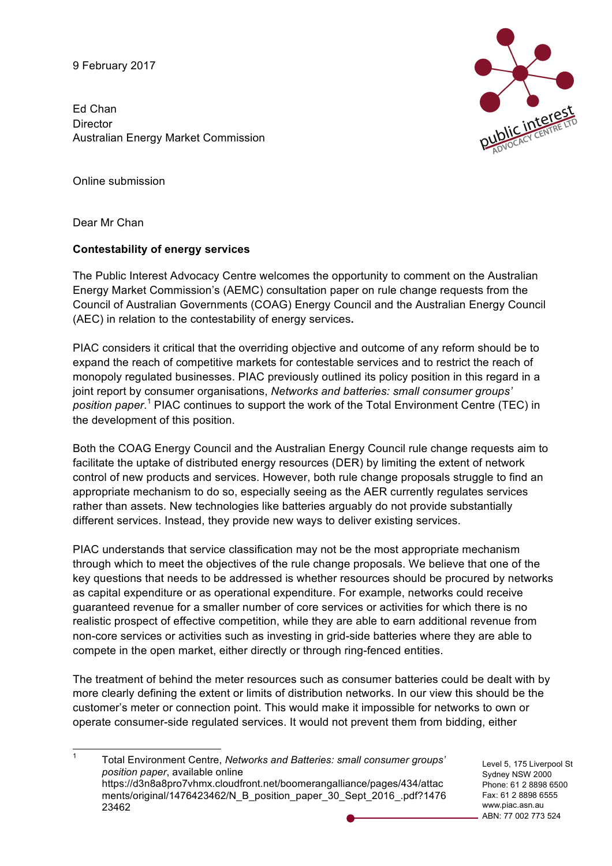9 February 2017

Ed Chan **Director** Australian Energy Market Commission



Online submission

Dear Mr Chan

## **Contestability of energy services**

The Public Interest Advocacy Centre welcomes the opportunity to comment on the Australian Energy Market Commission's (AEMC) consultation paper on rule change requests from the Council of Australian Governments (COAG) Energy Council and the Australian Energy Council (AEC) in relation to the contestability of energy services**.**

PIAC considers it critical that the overriding objective and outcome of any reform should be to expand the reach of competitive markets for contestable services and to restrict the reach of monopoly regulated businesses. PIAC previously outlined its policy position in this regard in a joint report by consumer organisations, *Networks and batteries: small consumer groups' position paper*. <sup>1</sup> PIAC continues to support the work of the Total Environment Centre (TEC) in the development of this position.

Both the COAG Energy Council and the Australian Energy Council rule change requests aim to facilitate the uptake of distributed energy resources (DER) by limiting the extent of network control of new products and services. However, both rule change proposals struggle to find an appropriate mechanism to do so, especially seeing as the AER currently regulates services rather than assets. New technologies like batteries arguably do not provide substantially different services. Instead, they provide new ways to deliver existing services.

PIAC understands that service classification may not be the most appropriate mechanism through which to meet the objectives of the rule change proposals. We believe that one of the key questions that needs to be addressed is whether resources should be procured by networks as capital expenditure or as operational expenditure. For example, networks could receive guaranteed revenue for a smaller number of core services or activities for which there is no realistic prospect of effective competition, while they are able to earn additional revenue from non-core services or activities such as investing in grid-side batteries where they are able to compete in the open market, either directly or through ring-fenced entities.

The treatment of behind the meter resources such as consumer batteries could be dealt with by more clearly defining the extent or limits of distribution networks. In our view this should be the customer's meter or connection point. This would make it impossible for networks to own or operate consumer-side regulated services. It would not prevent them from bidding, either

 1 Total Environment Centre, *Networks and Batteries: small consumer groups' position paper*, available online https://d3n8a8pro7vhmx.cloudfront.net/boomerangalliance/pages/434/attac ments/original/1476423462/N\_B\_position\_paper\_30\_Sept\_2016\_.pdf?1476 23462

Level 5, 175 Liverpool St Sydney NSW 2000 Phone: 61 2 8898 6500 Fax: 61 2 8898 6555 www.piac.asn.au ABN: 77 002 773 524